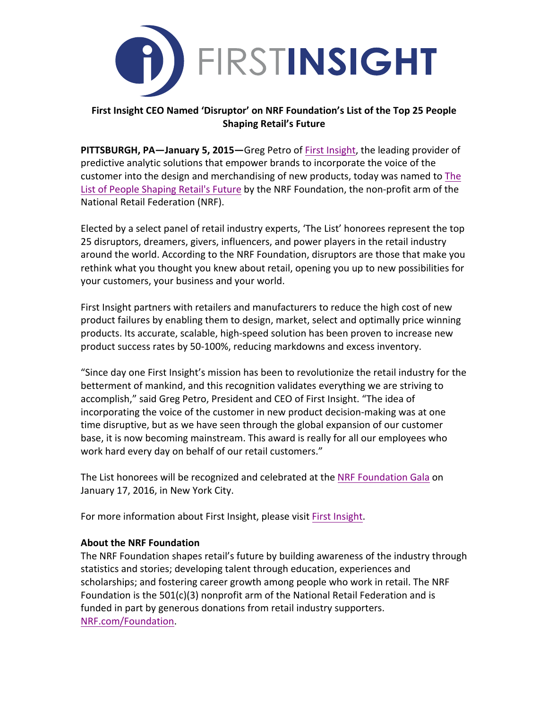

# **First Insight CEO Named 'Disruptor' on NRF Foundation's List of the Top 25 People Shaping Retail's Future**

**PITTSBURGH, PA—January 5, 2015—**Greg Petro of First Insight, the leading provider of predictive analytic solutions that empower brands to incorporate the voice of the customer into the design and merchandising of new products, today was named to The List of People Shaping Retail's Future by the NRF Foundation, the non-profit arm of the National Retail Federation (NRF).

Elected by a select panel of retail industry experts, 'The List' honorees represent the top 25 disruptors, dreamers, givers, influencers, and power players in the retail industry around the world. According to the NRF Foundation, disruptors are those that make you rethink what you thought you knew about retail, opening you up to new possibilities for your customers, your business and your world.

First Insight partners with retailers and manufacturers to reduce the high cost of new product failures by enabling them to design, market, select and optimally price winning products. Its accurate, scalable, high-speed solution has been proven to increase new product success rates by 50-100%, reducing markdowns and excess inventory.

"Since day one First Insight's mission has been to revolutionize the retail industry for the betterment of mankind, and this recognition validates everything we are striving to accomplish," said Greg Petro, President and CEO of First Insight. "The idea of incorporating the voice of the customer in new product decision-making was at one time disruptive, but as we have seen through the global expansion of our customer base, it is now becoming mainstream. This award is really for all our employees who work hard every day on behalf of our retail customers."

The List honorees will be recognized and celebrated at the NRF Foundation Gala on January 17, 2016, in New York City.

For more information about First Insight, please visit First Insight.

# **About the NRF Foundation**

The NRF Foundation shapes retail's future by building awareness of the industry through statistics and stories; developing talent through education, experiences and scholarships; and fostering career growth among people who work in retail. The NRF Foundation is the  $501(c)(3)$  nonprofit arm of the National Retail Federation and is funded in part by generous donations from retail industry supporters. [NRF.com/Foundation](http://www.nrf.com/foundation).